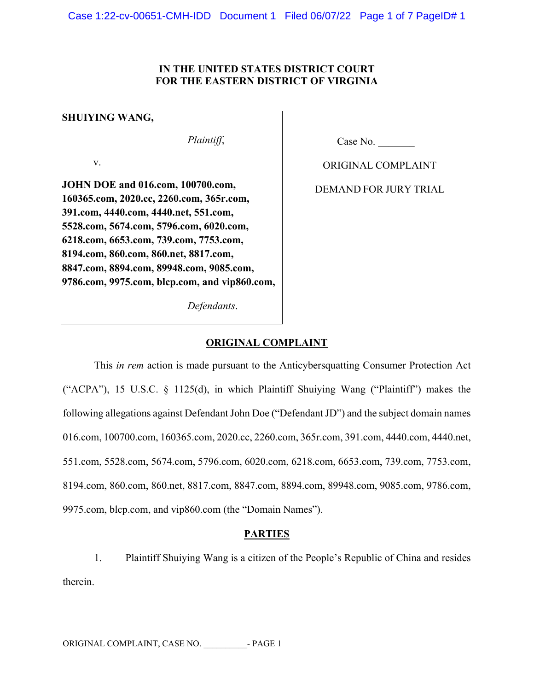# **IN THE UNITED STATES DISTRICT COURT FOR THE EASTERN DISTRICT OF VIRGINIA**

## **SHUIYING WANG,**

*Plaintiff*,

v.

**JOHN DOE and 016.com, 100700.com, 160365.com, 2020.cc, 2260.com, 365r.com, 391.com, 4440.com, 4440.net, 551.com, 5528.com, 5674.com, 5796.com, 6020.com, 6218.com, 6653.com, 739.com, 7753.com, 8194.com, 860.com, 860.net, 8817.com, 8847.com, 8894.com, 89948.com, 9085.com, 9786.com, 9975.com, blcp.com, and vip860.com,**

*Defendants*.

Case No.

ORIGINAL COMPLAINT

DEMAND FOR JURY TRIAL

# **ORIGINAL COMPLAINT**

This *in rem* action is made pursuant to the Anticybersquatting Consumer Protection Act ("ACPA"), 15 U.S.C. § 1125(d), in which Plaintiff Shuiying Wang ("Plaintiff") makes the following allegations against Defendant John Doe ("Defendant JD") and the subject domain names 016.com, 100700.com, 160365.com, 2020.cc, 2260.com, 365r.com, 391.com, 4440.com, 4440.net, 551.com, 5528.com, 5674.com, 5796.com, 6020.com, 6218.com, 6653.com, 739.com, 7753.com, 8194.com, 860.com, 860.net, 8817.com, 8847.com, 8894.com, 89948.com, 9085.com, 9786.com, 9975.com, blcp.com, and vip860.com (the "Domain Names").

# **PARTIES**

1. Plaintiff Shuiying Wang is a citizen of the People's Republic of China and resides therein.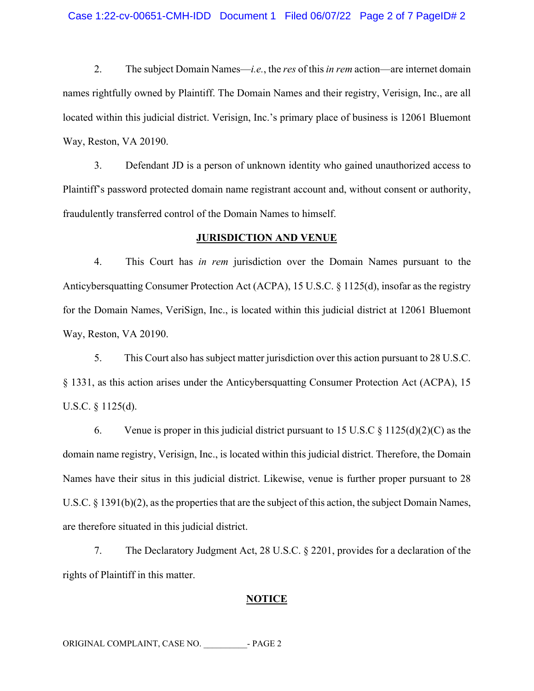## Case 1:22-cv-00651-CMH-IDD Document 1 Filed 06/07/22 Page 2 of 7 PageID# 2

2. The subject Domain Names—*i.e.*, the *res* of this *in rem* action—are internet domain names rightfully owned by Plaintiff. The Domain Names and their registry, Verisign, Inc., are all located within this judicial district. Verisign, Inc.'s primary place of business is 12061 Bluemont Way, Reston, VA 20190.

3. Defendant JD is a person of unknown identity who gained unauthorized access to Plaintiff's password protected domain name registrant account and, without consent or authority, fraudulently transferred control of the Domain Names to himself.

## **JURISDICTION AND VENUE**

4. This Court has *in rem* jurisdiction over the Domain Names pursuant to the Anticybersquatting Consumer Protection Act (ACPA), 15 U.S.C. § 1125(d), insofar as the registry for the Domain Names, VeriSign, Inc., is located within this judicial district at 12061 Bluemont Way, Reston, VA 20190.

5. This Court also has subject matter jurisdiction over this action pursuant to 28 U.S.C. § 1331, as this action arises under the Anticybersquatting Consumer Protection Act (ACPA), 15 U.S.C. § 1125(d).

6. Venue is proper in this judicial district pursuant to 15 U.S.C  $\frac{\xi}{125(d)(2)(C)}$  as the domain name registry, Verisign, Inc., is located within this judicial district. Therefore, the Domain Names have their situs in this judicial district. Likewise, venue is further proper pursuant to 28 U.S.C. § 1391(b)(2), as the properties that are the subject of this action, the subject Domain Names, are therefore situated in this judicial district.

7. The Declaratory Judgment Act, 28 U.S.C. § 2201, provides for a declaration of the rights of Plaintiff in this matter.

### **NOTICE**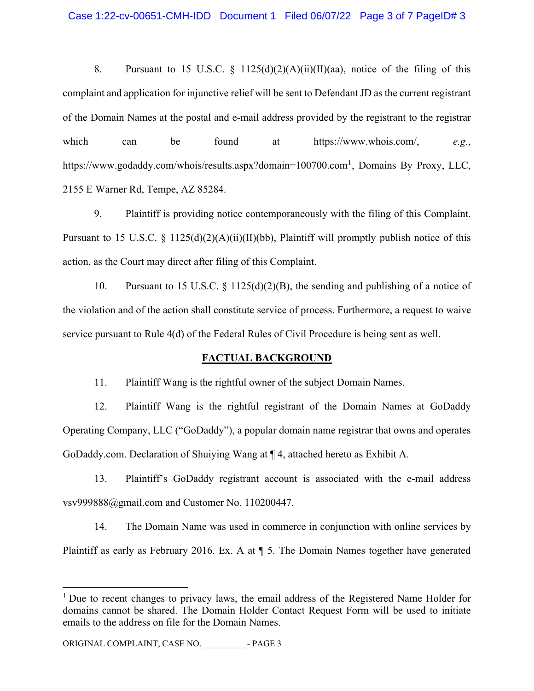8. Pursuant to 15 U.S.C. § 1125(d)(2)(A)(ii)(II)(aa), notice of the filing of this complaint and application for injunctive relief will be sent to Defendant JD as the current registrant of the Domain Names at the postal and e-mail address provided by the registrant to the registrar which can be found at https://www.whois.com/, *e.g.*, https://www.godaddy.com/whois/results.aspx?domain=100700.com<sup>1</sup>, Domains By Proxy, LLC, 2155 E Warner Rd, Tempe, AZ 85284.

9. Plaintiff is providing notice contemporaneously with the filing of this Complaint. Pursuant to 15 U.S.C. § 1125(d)(2)(A)(ii)(II)(bb), Plaintiff will promptly publish notice of this action, as the Court may direct after filing of this Complaint.

10. Pursuant to 15 U.S.C. § 1125(d)(2)(B), the sending and publishing of a notice of the violation and of the action shall constitute service of process. Furthermore, a request to waive service pursuant to Rule 4(d) of the Federal Rules of Civil Procedure is being sent as well.

## **FACTUAL BACKGROUND**

11. Plaintiff Wang is the rightful owner of the subject Domain Names.

12. Plaintiff Wang is the rightful registrant of the Domain Names at GoDaddy Operating Company, LLC ("GoDaddy"), a popular domain name registrar that owns and operates GoDaddy.com. Declaration of Shuiying Wang at ¶ 4, attached hereto as Exhibit A.

13. Plaintiff's GoDaddy registrant account is associated with the e-mail address vsv999888@gmail.com and Customer No. 110200447.

14. The Domain Name was used in commerce in conjunction with online services by Plaintiff as early as February 2016. Ex. A at ¶ 5. The Domain Names together have generated

<sup>&</sup>lt;sup>1</sup> Due to recent changes to privacy laws, the email address of the Registered Name Holder for domains cannot be shared. The Domain Holder Contact Request Form will be used to initiate emails to the address on file for the Domain Names.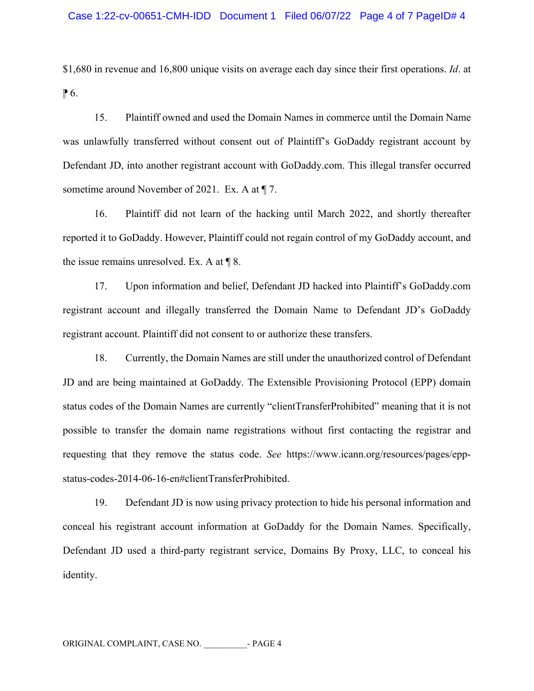\$1,680 in revenue and 16,800 unique visits on average each day since their first operations. *Id*. at  $\mathbb{P}6$ .

15. Plaintiff owned and used the Domain Names in commerce until the Domain Name was unlawfully transferred without consent out of Plaintiff's GoDaddy registrant account by Defendant JD, into another registrant account with GoDaddy.com. This illegal transfer occurred sometime around November of 2021. Ex. A at  $\P$  7.

16. Plaintiff did not learn of the hacking until March 2022, and shortly thereafter reported it to GoDaddy. However, Plaintiff could not regain control of my GoDaddy account, and the issue remains unresolved. Ex. A at ¶ 8.

17. Upon information and belief, Defendant JD hacked into Plaintiff's GoDaddy.com registrant account and illegally transferred the Domain Name to Defendant JD's GoDaddy registrant account. Plaintiff did not consent to or authorize these transfers.

18. Currently, the Domain Names are still under the unauthorized control of Defendant JD and are being maintained at GoDaddy. The Extensible Provisioning Protocol (EPP) domain status codes of the Domain Names are currently "clientTransferProhibited" meaning that it is not possible to transfer the domain name registrations without first contacting the registrar and requesting that they remove the status code. *See* https://www.icann.org/resources/pages/eppstatus-codes-2014-06-16-en#clientTransferProhibited.

19. Defendant JD is now using privacy protection to hide his personal information and conceal his registrant account information at GoDaddy for the Domain Names. Specifically, Defendant JD used a third-party registrant service, Domains By Proxy, LLC, to conceal his identity.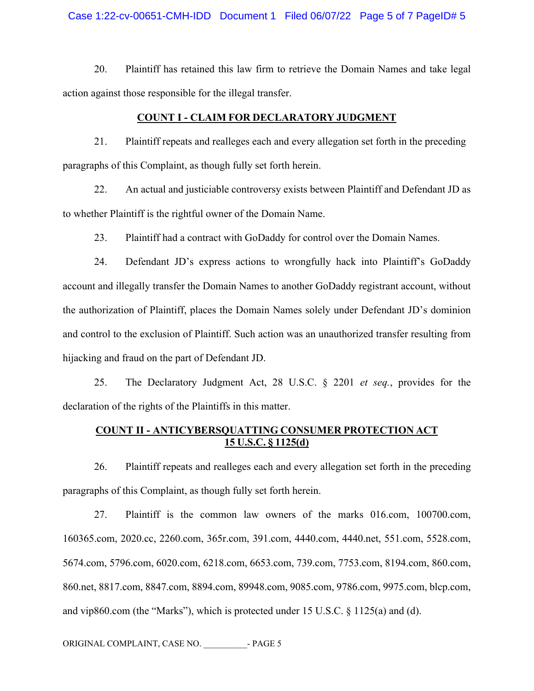## Case 1:22-cv-00651-CMH-IDD Document 1 Filed 06/07/22 Page 5 of 7 PageID# 5

20. Plaintiff has retained this law firm to retrieve the Domain Names and take legal action against those responsible for the illegal transfer.

### **COUNT I - CLAIM FOR DECLARATORY JUDGMENT**

21. Plaintiff repeats and realleges each and every allegation set forth in the preceding paragraphs of this Complaint, as though fully set forth herein.

22. An actual and justiciable controversy exists between Plaintiff and Defendant JD as to whether Plaintiff is the rightful owner of the Domain Name.

23. Plaintiff had a contract with GoDaddy for control over the Domain Names.

24. Defendant JD's express actions to wrongfully hack into Plaintiff's GoDaddy account and illegally transfer the Domain Names to another GoDaddy registrant account, without the authorization of Plaintiff, places the Domain Names solely under Defendant JD's dominion and control to the exclusion of Plaintiff. Such action was an unauthorized transfer resulting from hijacking and fraud on the part of Defendant JD.

25. The Declaratory Judgment Act, 28 U.S.C. § 2201 *et seq.*, provides for the declaration of the rights of the Plaintiffs in this matter.

# **COUNT II - ANTICYBERSQUATTING CONSUMER PROTECTION ACT 15 U.S.C. § 1125(d)**

26. Plaintiff repeats and realleges each and every allegation set forth in the preceding paragraphs of this Complaint, as though fully set forth herein.

27. Plaintiff is the common law owners of the marks 016.com, 100700.com, 160365.com, 2020.cc, 2260.com, 365r.com, 391.com, 4440.com, 4440.net, 551.com, 5528.com, 5674.com, 5796.com, 6020.com, 6218.com, 6653.com, 739.com, 7753.com, 8194.com, 860.com, 860.net, 8817.com, 8847.com, 8894.com, 89948.com, 9085.com, 9786.com, 9975.com, blcp.com, and vip860.com (the "Marks"), which is protected under 15 U.S.C.  $\S$  1125(a) and (d).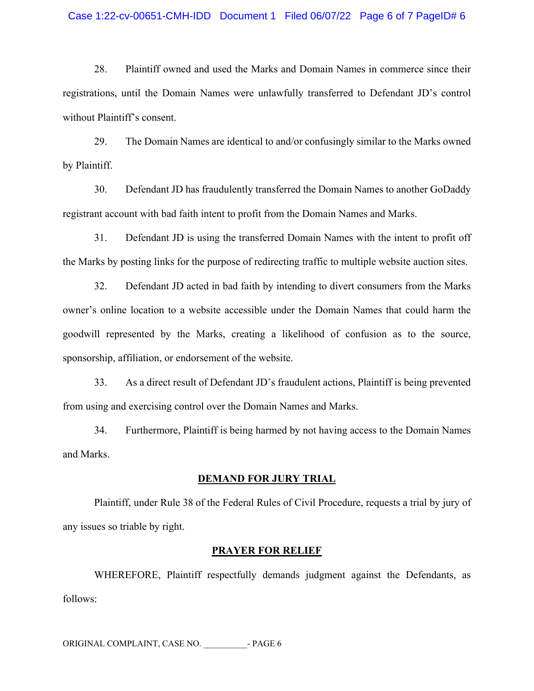## Case 1:22-cv-00651-CMH-IDD Document 1 Filed 06/07/22 Page 6 of 7 PageID# 6

28. Plaintiff owned and used the Marks and Domain Names in commerce since their registrations, until the Domain Names were unlawfully transferred to Defendant JD's control without Plaintiff's consent.

29. The Domain Names are identical to and/or confusingly similar to the Marks owned by Plaintiff.

30. Defendant JD has fraudulently transferred the Domain Names to another GoDaddy registrant account with bad faith intent to profit from the Domain Names and Marks.

31. Defendant JD is using the transferred Domain Names with the intent to profit off the Marks by posting links for the purpose of redirecting traffic to multiple website auction sites.

32. Defendant JD acted in bad faith by intending to divert consumers from the Marks owner's online location to a website accessible under the Domain Names that could harm the goodwill represented by the Marks, creating a likelihood of confusion as to the source, sponsorship, affiliation, or endorsement of the website.

33. As a direct result of Defendant JD's fraudulent actions, Plaintiff is being prevented from using and exercising control over the Domain Names and Marks.

34. Furthermore, Plaintiff is being harmed by not having access to the Domain Names and Marks.

### **DEMAND FOR JURY TRIAL**

Plaintiff, under Rule 38 of the Federal Rules of Civil Procedure, requests a trial by jury of any issues so triable by right.

#### **PRAYER FOR RELIEF**

WHEREFORE, Plaintiff respectfully demands judgment against the Defendants, as follows:

ORIGINAL COMPLAINT, CASE NO. - PAGE 6